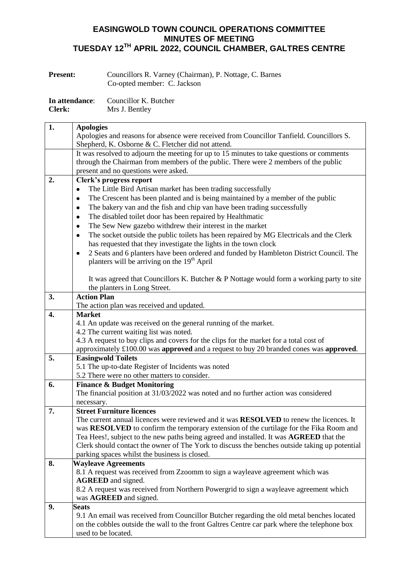## **EASINGWOLD TOWN COUNCIL OPERATIONS COMMITTEE MINUTES OF MEETING TUESDAY 12TH APRIL 2022, COUNCIL CHAMBER, GALTRES CENTRE**

| <b>Present:</b> | Councillors R. Varney (Chairman), P. Nottage, C. Barnes |
|-----------------|---------------------------------------------------------|
|                 | Co-opted member: C. Jackson                             |

| In attendance: | Councillor K. Butcher |
|----------------|-----------------------|
| <b>Clerk:</b>  | Mrs J. Bentley        |

| 1. | <b>Apologies</b>                                                                                                                                                                        |
|----|-----------------------------------------------------------------------------------------------------------------------------------------------------------------------------------------|
|    | Apologies and reasons for absence were received from Councillor Tanfield. Councillors S.                                                                                                |
|    | Shepherd, K. Osborne & C. Fletcher did not attend.                                                                                                                                      |
|    | It was resolved to adjourn the meeting for up to 15 minutes to take questions or comments                                                                                               |
|    | through the Chairman from members of the public. There were 2 members of the public                                                                                                     |
|    | present and no questions were asked.                                                                                                                                                    |
| 2. | Clerk's progress report                                                                                                                                                                 |
|    | The Little Bird Artisan market has been trading successfully<br>٠                                                                                                                       |
|    | The Crescent has been planted and is being maintained by a member of the public<br>٠                                                                                                    |
|    | The bakery van and the fish and chip van have been trading successfully<br>٠                                                                                                            |
|    | The disabled toilet door has been repaired by Healthmatic<br>٠                                                                                                                          |
|    | The Sew New gazebo withdrew their interest in the market<br>٠                                                                                                                           |
|    | The socket outside the public toilets has been repaired by MG Electricals and the Clerk<br>٠                                                                                            |
|    | has requested that they investigate the lights in the town clock                                                                                                                        |
|    | 2 Seats and 6 planters have been ordered and funded by Hambleton District Council. The<br>٠                                                                                             |
|    | planters will be arriving on the 19 <sup>th</sup> April                                                                                                                                 |
|    | It was agreed that Councillors K. Butcher & P Nottage would form a working party to site                                                                                                |
|    | the planters in Long Street.                                                                                                                                                            |
| 3. | <b>Action Plan</b>                                                                                                                                                                      |
|    | The action plan was received and updated.                                                                                                                                               |
| 4. | <b>Market</b>                                                                                                                                                                           |
|    | 4.1 An update was received on the general running of the market.                                                                                                                        |
|    | 4.2 The current waiting list was noted.                                                                                                                                                 |
|    | 4.3 A request to buy clips and covers for the clips for the market for a total cost of                                                                                                  |
|    | approximately £100.00 was approved and a request to buy 20 branded cones was approved.                                                                                                  |
| 5. | <b>Easingwold Toilets</b>                                                                                                                                                               |
|    | 5.1 The up-to-date Register of Incidents was noted                                                                                                                                      |
|    | 5.2 There were no other matters to consider.                                                                                                                                            |
| 6. | <b>Finance &amp; Budget Monitoring</b>                                                                                                                                                  |
|    | The financial position at 31/03/2022 was noted and no further action was considered                                                                                                     |
|    | necessary.                                                                                                                                                                              |
| 7. | <b>Street Furniture licences</b>                                                                                                                                                        |
|    | The current annual licences were reviewed and it was <b>RESOLVED</b> to renew the licences. It                                                                                          |
|    | was <b>RESOLVED</b> to confirm the temporary extension of the curtilage for the Fika Room and                                                                                           |
|    | Tea Hees!, subject to the new paths being agreed and installed. It was AGREED that the<br>Clerk should contact the owner of The York to discuss the benches outside taking up potential |
|    | parking spaces whilst the business is closed.                                                                                                                                           |
| 8. | <b>Wayleave Agreements</b>                                                                                                                                                              |
|    | 8.1 A request was received from Zzoomm to sign a wayleave agreement which was                                                                                                           |
|    | <b>AGREED</b> and signed.                                                                                                                                                               |
|    | 8.2 A request was received from Northern Powergrid to sign a wayleave agreement which                                                                                                   |
|    | was <b>AGREED</b> and signed.                                                                                                                                                           |
| 9. | <b>Seats</b>                                                                                                                                                                            |
|    | 9.1 An email was received from Councillor Butcher regarding the old metal benches located                                                                                               |
|    | on the cobbles outside the wall to the front Galtres Centre car park where the telephone box                                                                                            |
|    | used to be located.                                                                                                                                                                     |